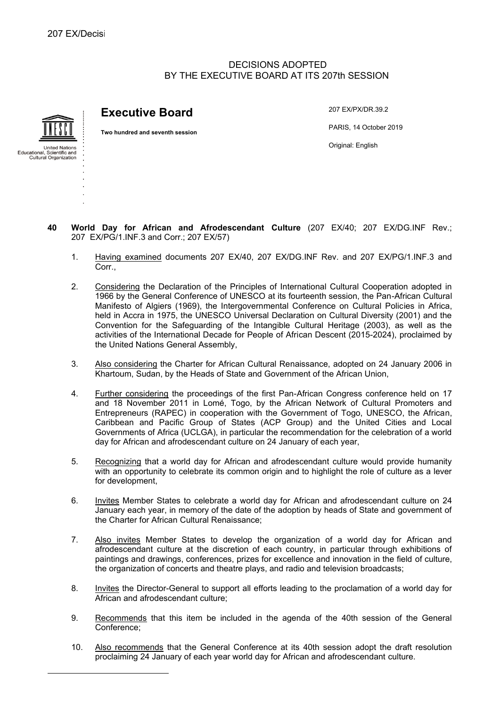# DECISIONS ADOPTED BY THE EXECUTIVE BOARD AT ITS 207th SESSION



# **Executive Board**

**Two hundred and seventh session**

207 EX/PX/DR.39.2 PARIS, 14 October 2019 Original: English

- **40 World Day for African and Afrodescendant Culture** (207 EX/40; 207 EX/DG.INF Rev.; 207 EX/PG/1.INF.3 and Corr.; 207 EX/57)
	- 1. Having examined documents 207 EX/40, 207 EX/DG.INF Rev. and 207 EX/PG/1.INF.3 and Corr.,
	- 2. Considering the Declaration of the Principles of International Cultural Cooperation adopted in 1966 by the General Conference of UNESCO at its fourteenth session, the Pan-African Cultural Manifesto of Algiers (1969), the Intergovernmental Conference on Cultural Policies in Africa, held in Accra in 1975, the UNESCO Universal Declaration on Cultural Diversity (2001) and the Convention for the Safeguarding of the Intangible Cultural Heritage (2003), as well as the activities of the International Decade for People of African Descent (2015-2024), proclaimed by the United Nations General Assembly,
	- 3. Also considering the Charter for African Cultural Renaissance, adopted on 24 January 2006 in Khartoum, Sudan, by the Heads of State and Government of the African Union,
	- 4. Further considering the proceedings of the first Pan-African Congress conference held on 17 and 18 November 2011 in Lomé, Togo, by the African Network of Cultural Promoters and Entrepreneurs (RAPEC) in cooperation with the Government of Togo, UNESCO, the African, Caribbean and Pacific Group of States (ACP Group) and the United Cities and Local Governments of Africa (UCLGA), in particular the recommendation for the celebration of a world day for African and afrodescendant culture on 24 January of each year,
	- 5. Recognizing that a world day for African and afrodescendant culture would provide humanity with an opportunity to celebrate its common origin and to highlight the role of culture as a lever for development,
	- 6. Invites Member States to celebrate a world day for African and afrodescendant culture on 24 January each year, in memory of the date of the adoption by heads of State and government of the Charter for African Cultural Renaissance;
	- 7. Also invites Member States to develop the organization of a world day for African and afrodescendant culture at the discretion of each country, in particular through exhibitions of paintings and drawings, conferences, prizes for excellence and innovation in the field of culture, the organization of concerts and theatre plays, and radio and television broadcasts;
	- 8. Invites the Director-General to support all efforts leading to the proclamation of a world day for African and afrodescendant culture;
	- 9. Recommends that this item be included in the agenda of the 40th session of the General Conference;
	- 10. Also recommends that the General Conference at its 40th session adopt the draft resolution proclaiming 24 January of each year world day for African and afrodescendant culture.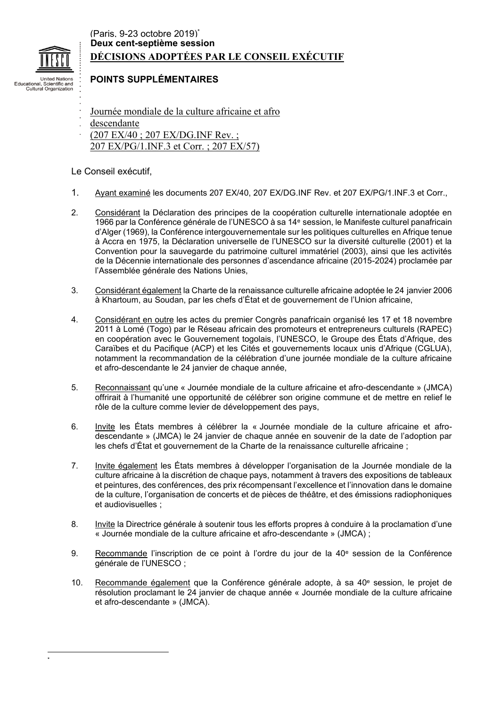

Cultural Organizat

# (Paris, 9-23 octobre 2019) \* **DÉCISIONS ADOPTÉES PAR LE CONSEIL EXÉCUTIF Deux cent-septième session**

# **POINTS SUPPLÉMENTAIRES**

- Journée mondiale de la culture africaine et afro
- descendante
- (207 EX/40 ; 207 EX/DG.INF Rev. ;
- 207 EX/PG/1.INF.3 et Corr. ; 207 EX/57)

# Le Conseil exécutif,

- 1. Ayant examiné les documents 207 EX/40, 207 EX/DG.INF Rev. et 207 EX/PG/1.INF.3 et Corr.,
- 2. Considérant la Déclaration des principes de la coopération culturelle internationale adoptée en 1966 par la Conférence générale de l'UNESCO à sa 14<sup>e</sup> session, le Manifeste culturel panafricain d'Alger (1969), la Conférence intergouvernementale sur les politiques culturelles en Afrique tenue à Accra en 1975, la Déclaration universelle de l'UNESCO sur la diversité culturelle (2001) et la Convention pour la sauvegarde du patrimoine culturel immatériel (2003), ainsi que les activités de la Décennie internationale des personnes d'ascendance africaine (2015-2024) proclamée par l'Assemblée générale des Nations Unies,
- 3. Considérant également la Charte de la renaissance culturelle africaine adoptée le 24 janvier 2006 à Khartoum, au Soudan, par les chefs d'État et de gouvernement de l'Union africaine,
- 4. Considérant en outre les actes du premier Congrès panafricain organisé les 17 et 18 novembre 2011 à Lomé (Togo) par le Réseau africain des promoteurs et entrepreneurs culturels (RAPEC) en coopération avec le Gouvernement togolais, l'UNESCO, le Groupe des États d'Afrique, des Caraïbes et du Pacifique (ACP) et les Cités et gouvernements locaux unis d'Afrique (CGLUA), notamment la recommandation de la célébration d'une journée mondiale de la culture africaine et afro-descendante le 24 janvier de chaque année,
- 5. Reconnaissant qu'une « Journée mondiale de la culture africaine et afro-descendante » (JMCA) offrirait à l'humanité une opportunité de célébrer son origine commune et de mettre en relief le rôle de la culture comme levier de développement des pays,
- 6. Invite les États membres à célébrer la « Journée mondiale de la culture africaine et afrodescendante » (JMCA) le 24 janvier de chaque année en souvenir de la date de l'adoption par les chefs d'État et gouvernement de la Charte de la renaissance culturelle africaine ;
- 7. Invite également les États membres à développer l'organisation de la Journée mondiale de la culture africaine à la discrétion de chaque pays, notamment à travers des expositions de tableaux et peintures, des conférences, des prix récompensant l'excellence et l'innovation dans le domaine de la culture, l'organisation de concerts et de pièces de théâtre, et des émissions radiophoniques et audiovisuelles ;
- 8. Invite la Directrice générale à soutenir tous les efforts propres à conduire à la proclamation d'une « Journée mondiale de la culture africaine et afro-descendante » (JMCA) ;
- 9. Recommande l'inscription de ce point à l'ordre du jour de la 40<sup>e</sup> session de la Conférence générale de l'UNESCO ;
- 10. Recommande également que la Conférence générale adopte, à sa 40<sup>e</sup> session, le projet de résolution proclamant le 24 janvier de chaque année « Journée mondiale de la culture africaine et afro-descendante » (JMCA).

\*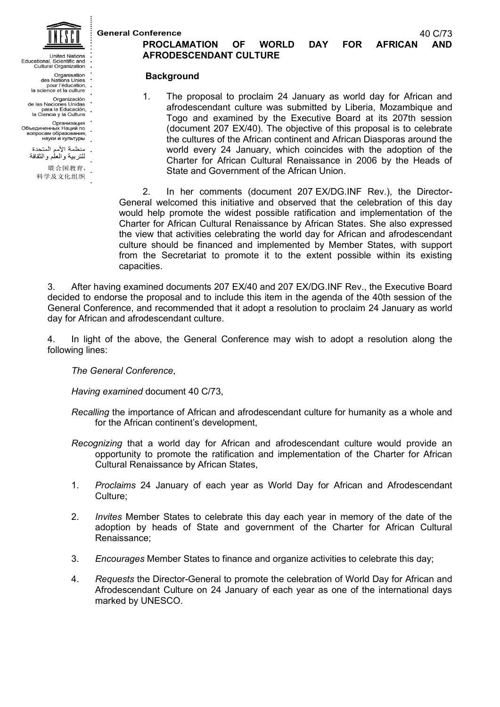**General Conference** 

40 C/73

- **Linited Nations**
- United Nations<br>Educational, Scientific and<br>Cultural Organization
	-
	- Crganisation<br>des Nations Unies<br>pour l'éducation,<br>la science et la culture
	-
	-
	- Organización<br>de las Naciones Unidas<br>para la Educación,<br>la Ciencia y la Cultura
- Организация<br>Объединенных Наций по
- вопросам образования. науки и культуры
- 
- . منظمة الأمم المتحدة<br> للنربية والعلم والثقافة
	- 联合国教育、

#### 科学及文化组织

# **PROCLAMATION OF WORLD DAY FOR AFRICAN AND AFRODESCENDANT CULTURE**

#### **Background**

1. The proposal to proclaim 24 January as world day for African and afrodescendant culture was submitted by Liberia, Mozambique and Togo and examined by the Executive Board at its 207th session (document 207 EX/40). The objective of this proposal is to celebrate the cultures of the African continent and African Diasporas around the world every 24 January, which coincides with the adoption of the Charter for African Cultural Renaissance in 2006 by the Heads of State and Government of the African Union.

2. In her comments (document 207 EX/DG.INF Rev.), the Director-General welcomed this initiative and observed that the celebration of this day would help promote the widest possible ratification and implementation of the Charter for African Cultural Renaissance by African States. She also expressed the view that activities celebrating the world day for African and afrodescendant culture should be financed and implemented by Member States, with support from the Secretariat to promote it to the extent possible within its existing capacities.

3. After having examined documents 207 EX/40 and 207 EX/DG.INF Rev., the Executive Board decided to endorse the proposal and to include this item in the agenda of the 40th session of the General Conference, and recommended that it adopt a resolution to proclaim 24 January as world day for African and afrodescendant culture.

4. In light of the above, the General Conference may wish to adopt a resolution along the following lines:

*The General Conference*,

*Having examined* document 40 C/73,

*Recalling* the importance of African and afrodescendant culture for humanity as a whole and for the African continent's development,

- *Recognizing* that a world day for African and afrodescendant culture would provide an opportunity to promote the ratification and implementation of the Charter for African Cultural Renaissance by African States,
- 1. *Proclaims* 24 January of each year as World Day for African and Afrodescendant Culture;
- 2. *Invites* Member States to celebrate this day each year in memory of the date of the adoption by heads of State and government of the Charter for African Cultural Renaissance;
- 3. *Encourages* Member States to finance and organize activities to celebrate this day;
- 4. *Requests* the Director-General to promote the celebration of World Day for African and Afrodescendant Culture on 24 January of each year as one of the international days marked by UNESCO.